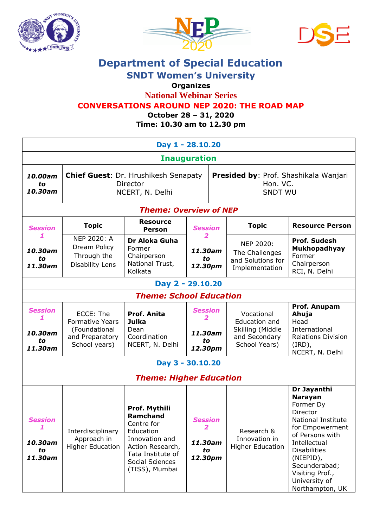

*to 11.30am*

School years)





## **Department of Special Education**

**SNDT Women's University**

## **Organizes**

**National Webinar Series**

## **CONVERSATIONS AROUND NEP 2020: THE ROAD MAP**

**October 28 – 31, 2020**

| Time: 10.30 am to 12.30 pm     |                                                                            |                                                                      |                          |                                                                     |                                                                    |                                                                               |  |  |  |  |  |
|--------------------------------|----------------------------------------------------------------------------|----------------------------------------------------------------------|--------------------------|---------------------------------------------------------------------|--------------------------------------------------------------------|-------------------------------------------------------------------------------|--|--|--|--|--|
| Day 1 - 28.10.20               |                                                                            |                                                                      |                          |                                                                     |                                                                    |                                                                               |  |  |  |  |  |
| <b>Inauguration</b>            |                                                                            |                                                                      |                          |                                                                     |                                                                    |                                                                               |  |  |  |  |  |
| 10.00am<br>to<br>10.30am       | <b>Chief Guest: Dr. Hrushikesh Senapaty</b><br>Director<br>NCERT, N. Delhi |                                                                      |                          | Presided by: Prof. Shashikala Wanjari<br>Hon. VC.<br><b>SNDT WU</b> |                                                                    |                                                                               |  |  |  |  |  |
| <b>Theme: Overview of NEP</b>  |                                                                            |                                                                      |                          |                                                                     |                                                                    |                                                                               |  |  |  |  |  |
| <b>Session</b>                 | <b>Topic</b>                                                               | <b>Resource</b><br>Person                                            | <b>Session</b>           |                                                                     | <b>Topic</b>                                                       | <b>Resource Person</b>                                                        |  |  |  |  |  |
| 10.30am<br>to<br>11,30am       | NEP 2020: A<br>Dream Policy<br>Through the<br>Disability Lens              | Dr Aloka Guha<br>Former<br>Chairperson<br>National Trust,<br>Kolkata | 11.30am<br>to<br>12.30pm |                                                                     | NEP 2020:<br>The Challenges<br>and Solutions for<br>Implementation | <b>Prof. Sudesh</b><br>Mukhopadhyay<br>Former<br>Chairperson<br>RCI, N. Delhi |  |  |  |  |  |
| Day 2 - 29.10.20               |                                                                            |                                                                      |                          |                                                                     |                                                                    |                                                                               |  |  |  |  |  |
| <b>Theme: School Education</b> |                                                                            |                                                                      |                          |                                                                     |                                                                    |                                                                               |  |  |  |  |  |
| <b>Session</b>                 | ECCE: The<br><b>Formative Years</b>                                        | Prof. Anita<br>Julka                                                 | <b>Session</b>           |                                                                     | Vocational<br>Education and                                        | Prof. Anupam<br>Ahuja<br>Head                                                 |  |  |  |  |  |
| 10.30am                        | (Foundational<br>and Preparatory                                           | Dean<br>Coordination                                                 | 11.30am                  |                                                                     | Skilling (Middle<br>and Secondary                                  | International<br><b>Relations Division</b>                                    |  |  |  |  |  |

## **Day 3 - 30.10.20**

NCERT, N. Delhi

*Theme: Higher Education*

*to 12.30pm*

School Years)

(IRD),

NCERT, N. Delhi